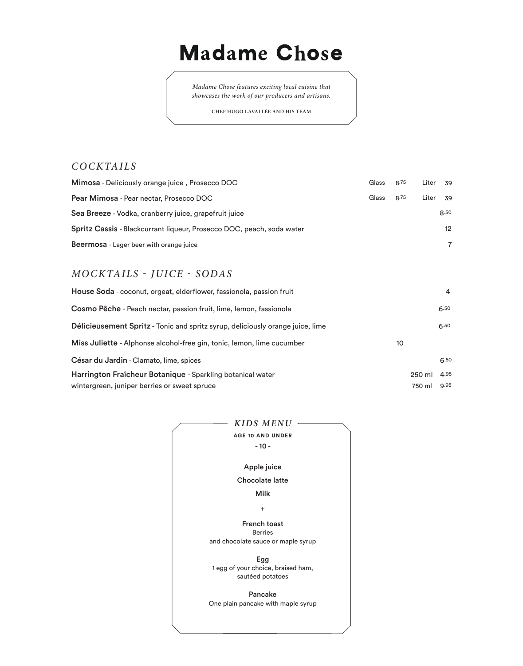# **Madame Chose**

*Madame Chose features exciting local cuisine that showcases the work of our producers and artisans.*

**CHEF HUGO LAVALLÉE AND HIS TEAM**

### *COCKTAILS*

| Mimosa - Deliciously orange juice, Prosecco DOC                       | <b>Glass</b> | 8.75 | Liter 39 |                 |
|-----------------------------------------------------------------------|--------------|------|----------|-----------------|
| Pear Mimosa - Pear nectar, Prosecco DOC                               | <b>Glass</b> | 8.75 | Liter    | 39              |
| Sea Breeze - Vodka, cranberry juice, grapefruit juice                 |              |      |          | 8.50            |
| Spritz Cassis - Blackcurrant liqueur, Prosecco DOC, peach, soda water |              |      |          | 12 <sup>2</sup> |
| Beermosa - Lager beer with orange juice                               |              |      |          |                 |

# *MOCKTAILS - JUICE - SODAS*

| House Soda - coconut, orgeat, elderflower, fassionola, passion fruit           |    |        | 4    |
|--------------------------------------------------------------------------------|----|--------|------|
| Cosmo Pêche - Peach nectar, passion fruit, lime, lemon, fassionola             |    |        | 6.50 |
| Délicieusement Spritz - Tonic and spritz syrup, deliciously orange juice, lime |    |        | 6.50 |
| Miss Juliette - Alphonse alcohol-free gin, tonic, lemon, lime cucumber         | 10 |        |      |
| César du Jardin - Clamato, lime, spices                                        |    |        | 6.50 |
| Harrington Fraîcheur Botanique - Sparkling botanical water                     |    | 250 ml | 4.95 |
| wintergreen, juniper berries or sweet spruce                                   |    | 750 ml | 9.95 |